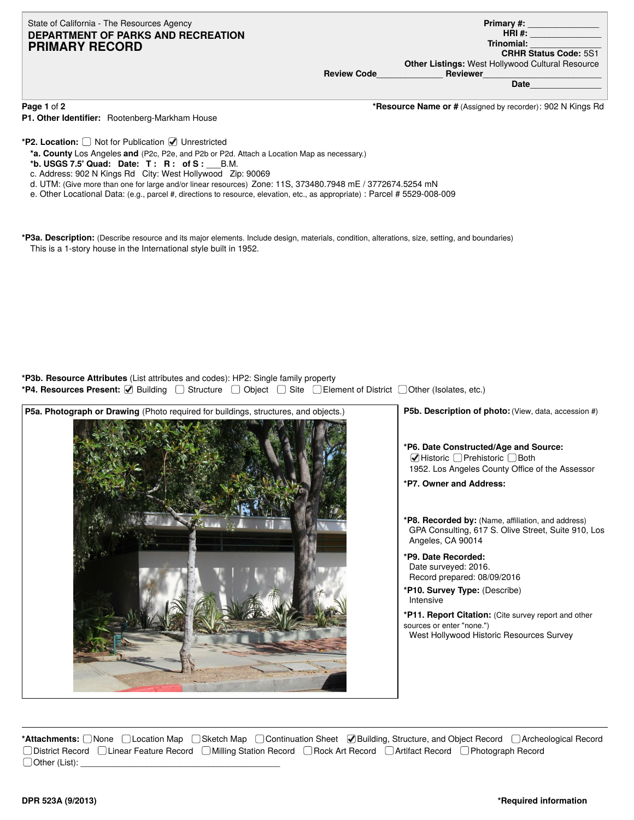State of California - The Resources Agency **DEPARTMENT OF PARKS AND RECREATION PRIMARY RECORD**

**Primary #:** \_\_\_\_\_\_\_\_\_\_\_\_\_\_\_

**Other Listings:** West Hollywood Cultural Resource

**HRI #:** \_\_\_\_\_\_\_\_\_\_\_\_\_\_\_ **Trinomial:** \_\_\_\_\_\_\_\_\_\_\_\_\_\_\_

**CRHR Status Code:** 5S1

**Review Code**\_\_\_\_\_\_\_\_\_\_\_\_\_\_ **Reviewer**\_\_\_\_\_\_\_\_\_\_\_\_\_\_\_\_\_\_\_\_\_\_\_\_\_

**Date**\_\_\_\_\_\_\_\_\_\_\_\_\_\_\_

**P1. Other Identifier:** Rootenberg-Markham House

**Page 1** of **2 \*Resource Name or #** (Assigned by recorder): 902 N Kings Rd

\*P2. Location:  $\Box$  Not for Publication  $\Box$  Unrestricted

**\*a. County** Los Angeles **and** (P2c, P2e, and P2b or P2d. Attach a Location Map as necessary.)

- **\*b. USGS 7.5' Quad: Date: T : R : of S :** \_\_\_B.M.
- c. Address: 902 N Kings Rd City: West Hollywood Zip: 90069

d. UTM: (Give more than one for large and/or linear resources) Zone: 11S, 373480.7948 mE / 3772674.5254 mN

e. Other Locational Data: (e.g., parcel #, directions to resource, elevation, etc., as appropriate) : Parcel # 5529-008-009

**\*P3a. Description:** (Describe resource and its major elements. Include design, materials, condition, alterations, size, setting, and boundaries) This is a 1-story house in the International style built in 1952.

**\*P3b. Resource Attributes** (List attributes and codes): HP2: Single family property

**\*P4. Resources Present:** Building Structure Object Site Element of District Other (Isolates, etc.)



**\*Attachments:** □None □Location Map □Sketch Map □Continuation Sheet ■Building, Structure, and Object Record □Archeological Record District Record Linear Feature Record Milling Station Record Rock Art Record Artifact Record Photograph Record  $\Box$  Other (List):